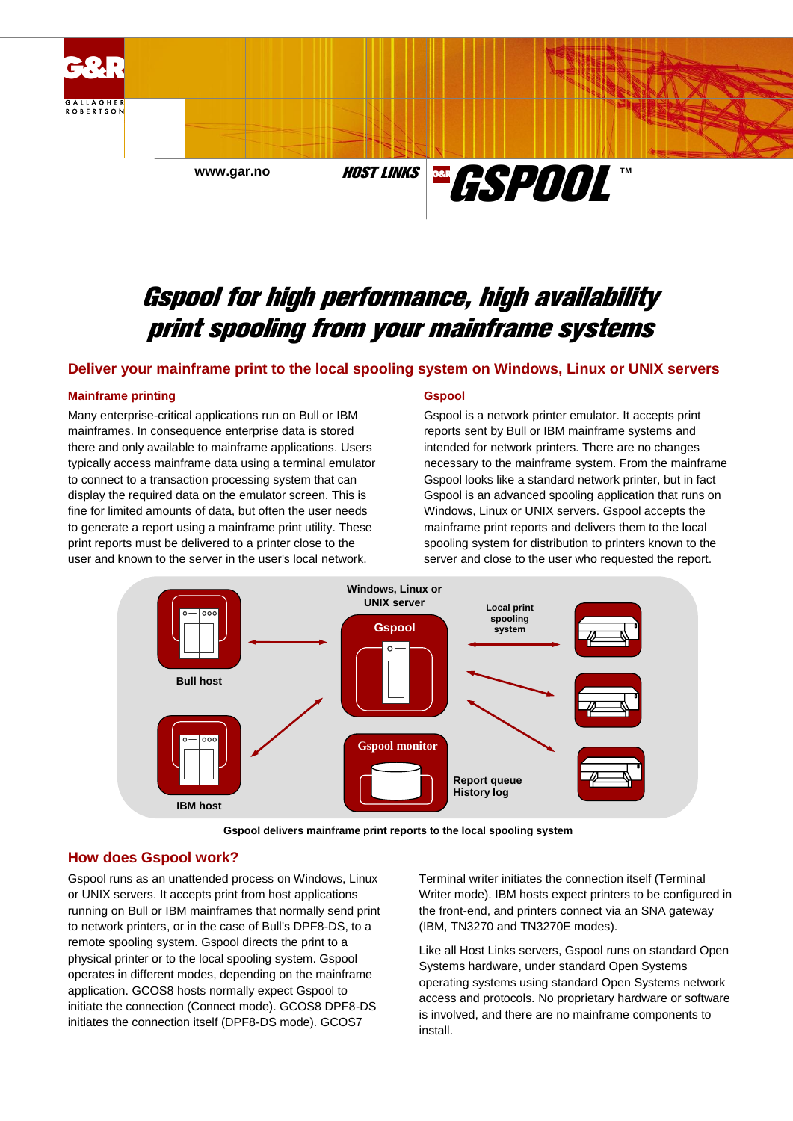

# Gspool for high performance, high availability print spooling from your mainframe systems

## **Deliver your mainframe print to the local spooling system on Windows, Linux or UNIX servers**

#### **Mainframe printing**

Many enterprise-critical applications run on Bull or IBM mainframes. In consequence enterprise data is stored there and only available to mainframe applications. Users typically access mainframe data using a terminal emulator to connect to a transaction processing system that can display the required data on the emulator screen. This is fine for limited amounts of data, but often the user needs to generate a report using a mainframe print utility. These print reports must be delivered to a printer close to the user and known to the server in the user's local network.

#### **Gspool**

Gspool is a network printer emulator. It accepts print reports sent by Bull or IBM mainframe systems and intended for network printers. There are no changes necessary to the mainframe system. From the mainframe Gspool looks like a standard network printer, but in fact Gspool is an advanced spooling application that runs on Windows, Linux or UNIX servers. Gspool accepts the mainframe print reports and delivers them to the local spooling system for distribution to printers known to the server and close to the user who requested the report.



**Gspool delivers mainframe print reports to the local spooling system**

## **How does Gspool work?**

Gspool runs as an unattended process on Windows, Linux or UNIX servers. It accepts print from host applications running on Bull or IBM mainframes that normally send print to network printers, or in the case of Bull's DPF8-DS, to a remote spooling system. Gspool directs the print to a physical printer or to the local spooling system. Gspool operates in different modes, depending on the mainframe application. GCOS8 hosts normally expect Gspool to initiate the connection (Connect mode). GCOS8 DPF8-DS initiates the connection itself (DPF8-DS mode). GCOS7

Terminal writer initiates the connection itself (Terminal Writer mode). IBM hosts expect printers to be configured in the front-end, and printers connect via an SNA gateway (IBM, TN3270 and TN3270E modes).

Like all Host Links servers, Gspool runs on standard Open Systems hardware, under standard Open Systems operating systems using standard Open Systems network access and protocols. No proprietary hardware or software is involved, and there are no mainframe components to install.